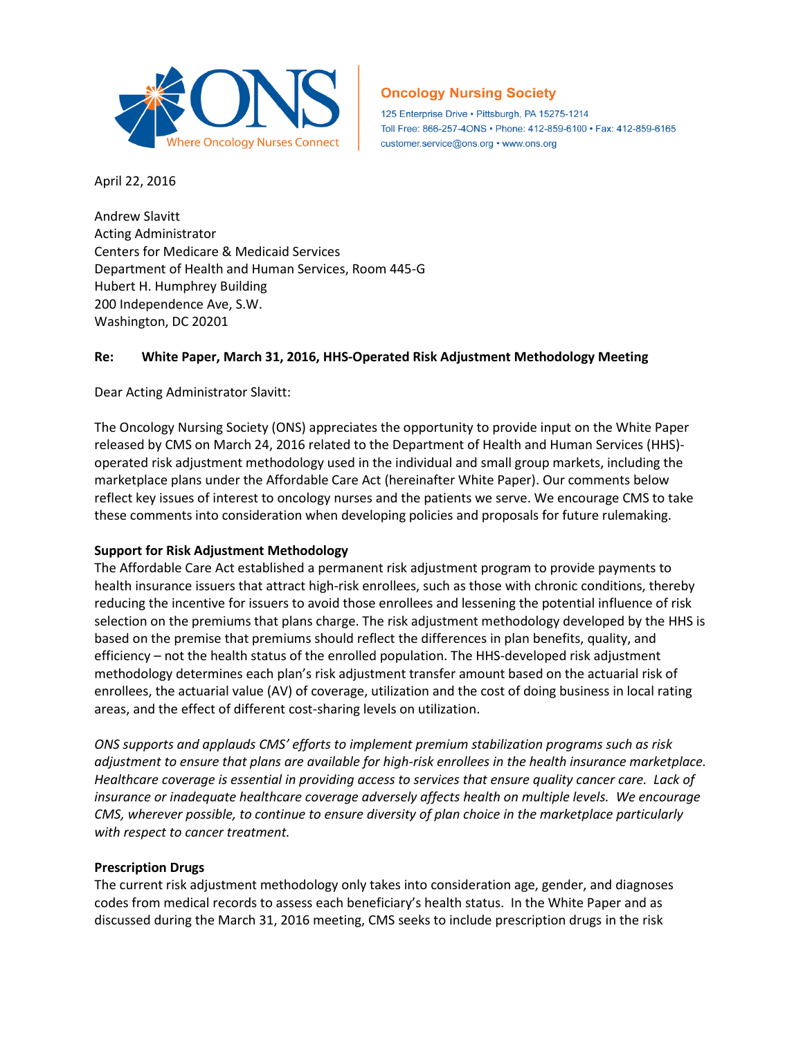

# **Oncology Nursing Society**

125 Enterprise Drive · Pittsburgh, PA 15275-1214 Toll Free: 866-257-4ONS · Phone: 412-859-6100 · Fax: 412-859-6165 customer.service@ons.org • www.ons.org

April 22, 2016

Andrew Slavitt Acting Administrator Centers for Medicare & Medicaid Services Department of Health and Human Services, Room 445-G Hubert H. Humphrey Building 200 Independence Ave, S.W. Washington, DC 20201

### **Re: White Paper, March 31, 2016, HHS-Operated Risk Adjustment Methodology Meeting**

Dear Acting Administrator Slavitt:

The Oncology Nursing Society (ONS) appreciates the opportunity to provide input on the White Paper released by CMS on March 24, 2016 related to the Department of Health and Human Services (HHS) operated risk adjustment methodology used in the individual and small group markets, including the marketplace plans under the Affordable Care Act (hereinafter White Paper). Our comments below reflect key issues of interest to oncology nurses and the patients we serve. We encourage CMS to take these comments into consideration when developing policies and proposals for future rulemaking.

#### **Support for Risk Adjustment Methodology**

The Affordable Care Act established a permanent risk adjustment program to provide payments to health insurance issuers that attract high-risk enrollees, such as those with chronic conditions, thereby reducing the incentive for issuers to avoid those enrollees and lessening the potential influence of risk selection on the premiums that plans charge. The risk adjustment methodology developed by the HHS is based on the premise that premiums should reflect the differences in plan benefits, quality, and efficiency – not the health status of the enrolled population. The HHS-developed risk adjustment methodology determines each plan's risk adjustment transfer amount based on the actuarial risk of enrollees, the actuarial value (AV) of coverage, utilization and the cost of doing business in local rating areas, and the effect of different cost-sharing levels on utilization.

*ONS supports and applauds CMS' efforts to implement premium stabilization programs such as risk adjustment to ensure that plans are available for high-risk enrollees in the health insurance marketplace. Healthcare coverage is essential in providing access to services that ensure quality cancer care. Lack of insurance or inadequate healthcare coverage adversely affects health on multiple levels. We encourage CMS, wherever possible, to continue to ensure diversity of plan choice in the marketplace particularly with respect to cancer treatment.* 

#### **Prescription Drugs**

The current risk adjustment methodology only takes into consideration age, gender, and diagnoses codes from medical records to assess each beneficiary's health status. In the White Paper and as discussed during the March 31, 2016 meeting, CMS seeks to include prescription drugs in the risk